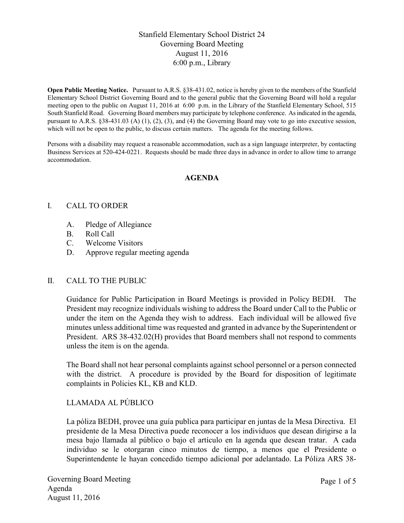# Stanfield Elementary School District 24 Governing Board Meeting August 11, 2016 6:00 p.m., Library

**Open Public Meeting Notice.** Pursuant to A.R.S. §38-431.02, notice is hereby given to the members of the Stanfield Elementary School District Governing Board and to the general public that the Governing Board will hold a regular meeting open to the public on August 11, 2016 at 6:00 p.m. in the Library of the Stanfield Elementary School, 515 South Stanfield Road. Governing Board members may participate by telephone conference. As indicated in the agenda, pursuant to A.R.S. §38-431.03 (A) (1), (2), (3), and (4) the Governing Board may vote to go into executive session, which will not be open to the public, to discuss certain matters. The agenda for the meeting follows.

Persons with a disability may request a reasonable accommodation, such as a sign language interpreter, by contacting Business Services at 520-424-0221. Requests should be made three days in advance in order to allow time to arrange accommodation.

#### **AGENDA**

#### I. CALL TO ORDER

- A. Pledge of Allegiance
- B. Roll Call
- C. Welcome Visitors
- D. Approve regular meeting agenda

#### II. CALL TO THE PUBLIC

Guidance for Public Participation in Board Meetings is provided in Policy BEDH. The President may recognize individuals wishing to address the Board under Call to the Public or under the item on the Agenda they wish to address. Each individual will be allowed five minutes unless additional time was requested and granted in advance by the Superintendent or President. ARS 38-432.02(H) provides that Board members shall not respond to comments unless the item is on the agenda.

The Board shall not hear personal complaints against school personnel or a person connected with the district. A procedure is provided by the Board for disposition of legitimate complaints in Policies KL, KB and KLD.

## LLAMADA AL PÚBLICO

La póliza BEDH, provee una guía publica para participar en juntas de la Mesa Directiva. El presidente de la Mesa Directiva puede reconocer a los individuos que desean dirigirse a la mesa bajo llamada al público o bajo el artículo en la agenda que desean tratar. A cada individuo se le otorgaran cinco minutos de tiempo, a menos que el Presidente o Superintendente le hayan concedido tiempo adicional por adelantado. La Póliza ARS 38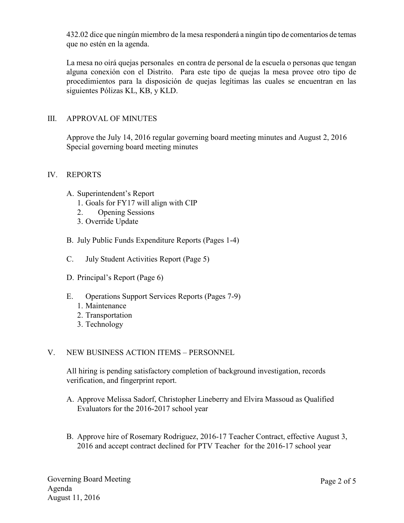432.02 dice que ningún miembro de la mesa responderá a ningún tipo de comentarios de temas que no estén en la agenda.

La mesa no oirá quejas personales en contra de personal de la escuela o personas que tengan alguna conexión con el Distrito. Para este tipo de quejas la mesa provee otro tipo de procedimientos para la disposición de quejas legítimas las cuales se encuentran en las siguientes Pólizas KL, KB, y KLD.

### III. APPROVAL OF MINUTES

Approve the July 14, 2016 regular governing board meeting minutes and August 2, 2016 Special governing board meeting minutes

#### IV. REPORTS

- A. Superintendent's Report
	- 1. Goals for FY17 will align with CIP
	- 2. Opening Sessions
	- 3. Override Update
- B. July Public Funds Expenditure Reports (Pages 1-4)
- C. July Student Activities Report (Page 5)
- D. Principal's Report (Page 6)
- E. Operations Support Services Reports (Pages 7-9)
	- 1. Maintenance
	- 2. Transportation
	- 3. Technology

## V. NEW BUSINESS ACTION ITEMS – PERSONNEL

All hiring is pending satisfactory completion of background investigation, records verification, and fingerprint report.

- A. Approve Melissa Sadorf, Christopher Lineberry and Elvira Massoud as Qualified Evaluators for the 2016-2017 school year
- B. Approve hire of Rosemary Rodriguez, 2016-17 Teacher Contract, effective August 3, 2016 and accept contract declined for PTV Teacher for the 2016-17 school year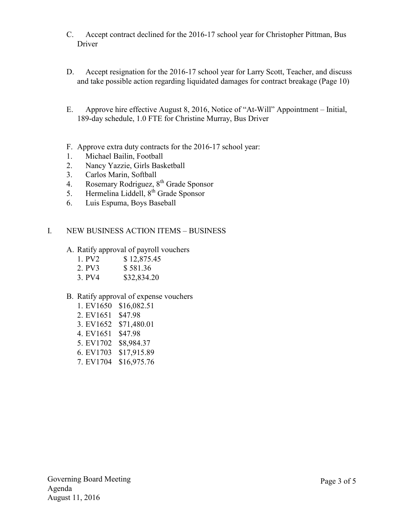- C. Accept contract declined for the 2016-17 school year for Christopher Pittman, Bus Driver
- D. Accept resignation for the 2016-17 school year for Larry Scott, Teacher, and discuss and take possible action regarding liquidated damages for contract breakage (Page 10)
- E. Approve hire effective August 8, 2016, Notice of "At-Will" Appointment Initial, 189-day schedule, 1.0 FTE for Christine Murray, Bus Driver
- F. Approve extra duty contracts for the 2016-17 school year:
- 1. Michael Bailin, Football
- 2. Nancy Yazzie, Girls Basketball
- 3. Carlos Marin, Softball
- 4. Rosemary Rodriguez, 8<sup>th</sup> Grade Sponsor
- 5. Hermelina Liddell,  $8<sup>th</sup>$  Grade Sponsor
- 6. Luis Espuma, Boys Baseball

## I. NEW BUSINESS ACTION ITEMS – BUSINESS

- A. Ratify approval of payroll vouchers
	- 1. PV2 \$ 12,875.45
	- 2. PV3 \$ 581.36
	- 3. PV4 \$32,834.20

## B. Ratify approval of expense vouchers

- 1. EV1650 \$16,082.51
- 2. EV1651 \$47.98
- 3. EV1652 \$71,480.01
- 4. EV1651 \$47.98
- 5. EV1702 \$8,984.37
- 6. EV1703 \$17,915.89
- 7. EV1704 \$16,975.76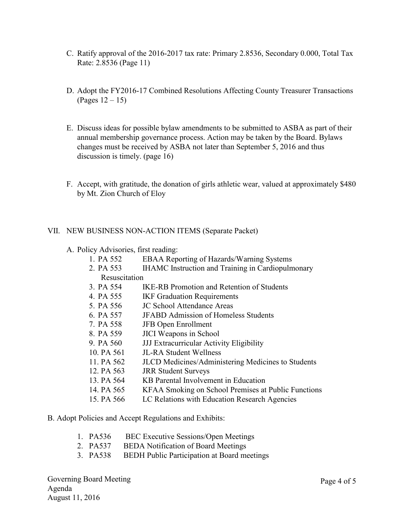- C. Ratify approval of the 2016-2017 tax rate: Primary 2.8536, Secondary 0.000, Total Tax Rate: 2.8536 (Page 11)
- D. Adopt the FY2016-17 Combined Resolutions Affecting County Treasurer Transactions (Pages 12 – 15)
- E. Discuss ideas for possible bylaw amendments to be submitted to ASBA as part of their annual membership governance process. Action may be taken by the Board. Bylaws changes must be received by ASBA not later than September 5, 2016 and thus discussion is timely. (page 16)
- F. Accept, with gratitude, the donation of girls athletic wear, valued at approximately \$480 by Mt. Zion Church of Eloy

#### VII. NEW BUSINESS NON-ACTION ITEMS (Separate Packet)

- A. Policy Advisories, first reading:
	- 1. PA 552 EBAA Reporting of Hazards/Warning Systems
	- 2. PA 553 IHAMC Instruction and Training in Cardiopulmonary
		- Resuscitation
	- 3. PA 554 IKE-RB Promotion and Retention of Students
	- 4. PA 555 IKF Graduation Requirements
	- 5. PA 556 JC School Attendance Areas
	- 6. PA 557 JFABD Admission of Homeless Students
	- 7. PA 558 JFB Open Enrollment
	- 8. PA 559 JICI Weapons in School
	- 9. PA 560 JJJ Extracurricular Activity Eligibility
	- 10. PA 561 JL-RA Student Wellness
	- 11. PA 562 JLCD Medicines/Administering Medicines to Students
	- 12. PA 563 JRR Student Surveys
	- 13. PA 564 KB Parental Involvement in Education
	- 14. PA 565 KFAA Smoking on School Premises at Public Functions
	- 15. PA 566 LC Relations with Education Research Agencies
- B. Adopt Policies and Accept Regulations and Exhibits:
	- 1. PA536 BEC Executive Sessions/Open Meetings
	- 2. PA537 BEDA Notification of Board Meetings
	- 3. PA538 BEDH Public Participation at Board meetings